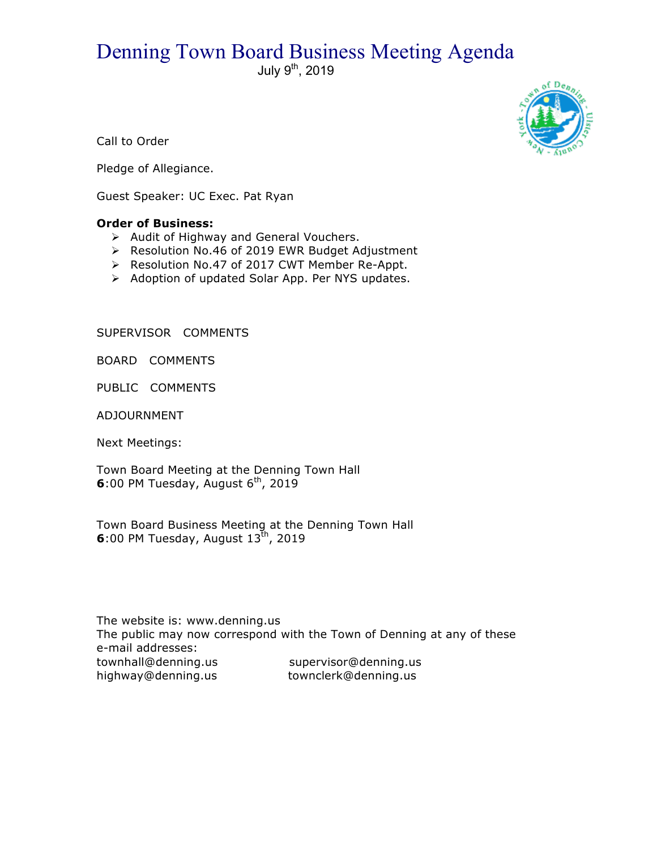## Denning Town Board Business Meeting Agenda

July 9<sup>th</sup>, 2019



Call to Order

Pledge of Allegiance.

Guest Speaker: UC Exec. Pat Ryan

## **Order of Business:**

- $\triangleright$  Audit of Highway and General Vouchers.
- ▶ Resolution No.46 of 2019 EWR Budget Adjustment
- > Resolution No.47 of 2017 CWT Member Re-Appt.
- > Adoption of updated Solar App. Per NYS updates.

SUPERVISOR COMMENTS

BOARD COMMENTS

PUBLIC COMMENTS

ADJOURNMENT

Next Meetings:

Town Board Meeting at the Denning Town Hall  $6:00$  PM Tuesday, August  $6^{th}$ , 2019

Town Board Business Meeting at the Denning Town Hall **6**:00 PM Tuesday, August  $13^{th}$ , 2019

The website is: www.denning.us The public may now correspond with the Town of Denning at any of these e-mail addresses: townhall@denning.us supervisor@denning.us<br>highway@denning.us townclerk@denning.us highway@denning.us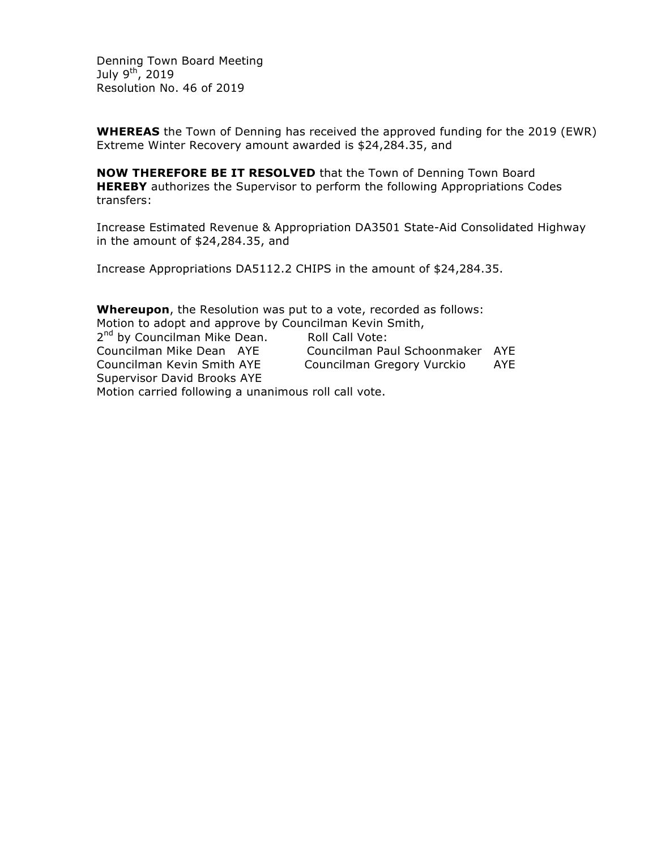Denning Town Board Meeting July  $9^{th}$ , 2019 Resolution No. 46 of 2019

**WHEREAS** the Town of Denning has received the approved funding for the 2019 (EWR) Extreme Winter Recovery amount awarded is \$24,284.35, and

**NOW THEREFORE BE IT RESOLVED** that the Town of Denning Town Board **HEREBY** authorizes the Supervisor to perform the following Appropriations Codes transfers:

Increase Estimated Revenue & Appropriation DA3501 State-Aid Consolidated Highway in the amount of \$24,284.35, and

Increase Appropriations DA5112.2 CHIPS in the amount of \$24,284.35.

**Whereupon**, the Resolution was put to a vote, recorded as follows: Motion to adopt and approve by Councilman Kevin Smith,

2<sup>nd</sup> by Councilman Mike Dean. Roll Call Vote: Councilman Mike Dean AYE Councilman Paul Schoonmaker AYE Councilman Kevin Smith AYE Councilman Gregory Vurckio AYE Supervisor David Brooks AYE Motion carried following a unanimous roll call vote.